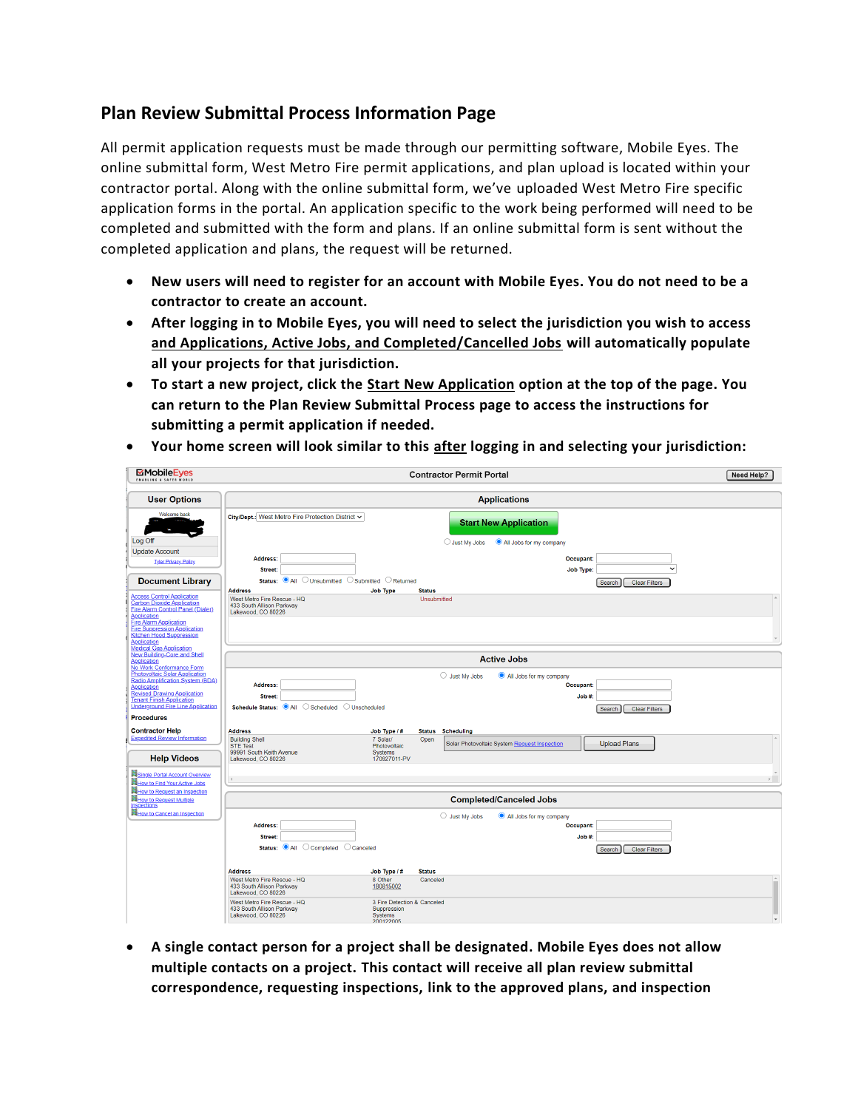## **Plan Review Submittal Process Information Page**

All permit application requests must be made through our permitting software, Mobile Eyes. The online submittal form, West Metro Fire permit applications, and plan upload is located within your contractor portal. Along with the online submittal form, we've uploaded West Metro Fire specific application forms in the portal. An application specific to the work being performed will need to be completed and submitted with the form and plans. If an online submittal form is sent without the completed application and plans, the request will be returned.

- **New users will need to register for an account with Mobile Eyes. You do not need to be a contractor to create an account.**
- **After logging in to Mobile Eyes, you will need to select the jurisdiction you wish to access and Applications, Active Jobs, and Completed/Cancelled Jobs will automatically populate all your projects for that jurisdiction.**
- **To start a new project, click the Start New Application option at the top of the page. You can return to the Plan Review Submittal Process page to access the instructions for submitting a permit application if needed.**

| MobileEyes                                                                                                             | <b>Contractor Permit Portal</b>                                                                                                                                                                   | Need Help? |
|------------------------------------------------------------------------------------------------------------------------|---------------------------------------------------------------------------------------------------------------------------------------------------------------------------------------------------|------------|
| <b>User Options</b>                                                                                                    | <b>Applications</b>                                                                                                                                                                               |            |
| Welcome back                                                                                                           | City/Dept.: West Metro Fire Protection District ~<br><b>Start New Application</b>                                                                                                                 |            |
| Log Off                                                                                                                | $\bigcirc$ Just My Jobs<br>All Jobs for my company                                                                                                                                                |            |
| <b>Update Account</b><br><b>Tyler Privacy Policy</b>                                                                   | Address:<br>Occupant:<br>$\checkmark$<br>Street:<br>Job Type:                                                                                                                                     |            |
| <b>Document Library</b>                                                                                                | ○ Unsubmitted ○ Submitted ○ Returned<br>Status: <sup>O</sup> All<br><b>Clear Filters</b><br>Search                                                                                                |            |
| <b>Access Control Application</b>                                                                                      | <b>Address</b><br><b>Job Type</b><br><b>Status</b><br>West Metro Fire Rescue - HQ<br>Unsubmitted                                                                                                  |            |
| <b>Carbon Dioxide Application</b><br>Fire Alarm Control Panel (Dialer)<br><b>Application</b>                           | 433 South Allison Parkway<br>Lakewood, CO 80226                                                                                                                                                   |            |
| <b>Fire Alarm Application</b><br><b>Fire Suppression Application</b><br>Kitchen Hood Suppression<br><b>Application</b> |                                                                                                                                                                                                   |            |
| <b>Medical Gas Application</b><br><b>New Building-Core and Shell</b>                                                   |                                                                                                                                                                                                   |            |
| Application<br>No Work Conformance Form                                                                                | <b>Active Jobs</b>                                                                                                                                                                                |            |
| <b>Photovoltaic Solar Application</b><br>Radio Amplification System (BDA)                                              | $\bigcirc$ Just My Jobs<br>All Jobs for my company<br>Address:<br>Occupant:                                                                                                                       |            |
| <b>Application</b><br><b>Revised Drawing Application</b>                                                               | Job #:<br>Street:                                                                                                                                                                                 |            |
| <b>Tenant Finish Application</b><br><b>Underground Fire Line Application</b><br><b>Procedures</b>                      | Schedule Status: <sup>O</sup> All C Scheduled<br>O Unscheduled<br><b>Clear Filters</b><br>Search                                                                                                  |            |
| <b>Contractor Help</b>                                                                                                 | <b>Address</b><br>Job Type / #<br><b>Status</b> Scheduling                                                                                                                                        |            |
| <b>Expedited Review Information</b>                                                                                    | <b>Building Shell</b><br>7 Solar/<br>Open<br>Solar Photovoltaic System Request Inspection<br><b>Upload Plans</b><br><b>STE Test</b><br>Photovoltaic<br>99991 South Keith Avenue<br><b>Systems</b> |            |
| <b>Help Videos</b>                                                                                                     | 170927011-PV<br>Lakewood, CO 80226                                                                                                                                                                |            |
| Single Portal Account Overview                                                                                         |                                                                                                                                                                                                   |            |
| How to Find Your Active Jobs<br>How to Request an Inspection                                                           |                                                                                                                                                                                                   |            |
| <b>How to Request Multiple</b><br><b>Inspections</b>                                                                   | <b>Completed/Canceled Jobs</b>                                                                                                                                                                    |            |
| How to Cancel an Inspection                                                                                            | $\bigcirc$ Just My Jobs<br>All Jobs for my company                                                                                                                                                |            |
|                                                                                                                        | Address:<br>Occupant:                                                                                                                                                                             |            |
|                                                                                                                        | Job #:<br>Street:<br>Status: <sup>O</sup> All C Completed C Canceled<br><b>Clear Filters</b><br>Search                                                                                            |            |
|                                                                                                                        |                                                                                                                                                                                                   |            |
|                                                                                                                        | <b>Address</b><br>Job Type / #<br><b>Status</b>                                                                                                                                                   |            |
|                                                                                                                        | West Metro Fire Rescue - HQ<br>8 Other<br>Canceled<br>433 South Allison Parkway<br>180815002<br>Lakewood, CO 80226                                                                                | $\sim$     |
|                                                                                                                        | West Metro Fire Rescue - HQ<br>3 Fire Detection & Canceled<br>433 South Allison Parkway<br>Suppression<br>Lakewood, CO 80226<br><b>Systems</b><br>200122005                                       |            |

• **Your home screen will look similar to this after logging in and selecting your jurisdiction:** 

• **A single contact person for a project shall be designated. Mobile Eyes does not allow multiple contacts on a project. This contact will receive all plan review submittal correspondence, requesting inspections, link to the approved plans, and inspection**